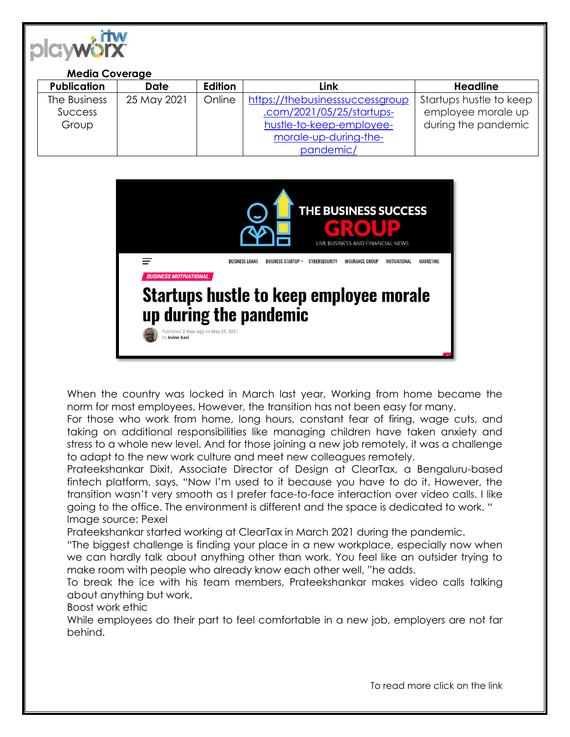

| <b>Media Coverage</b>                   |             |         |                                                                                                                   |                                                                      |
|-----------------------------------------|-------------|---------|-------------------------------------------------------------------------------------------------------------------|----------------------------------------------------------------------|
| <b>Publication</b>                      | Date        | Edition | Link                                                                                                              | Headline                                                             |
| The Business<br><b>Success</b><br>Group | 25 May 2021 | Online  | https://thebusinesssuccessgroup<br>.com/2021/05/25/startups-<br>hustle-to-keep-employee-<br>morale-up-during-the- | Startups hustle to keep<br>employee morale up<br>during the pandemic |
|                                         |             |         | pandemic/                                                                                                         |                                                                      |



When the country was locked in March last year, Working from home became the norm for most employees. However, the transition has not been easy for many.

For those who work from home, long hours, constant fear of firing, wage cuts, and taking on additional responsibilities like managing children have taken anxiety and stress to a whole new level. And for those joining a new job remotely, it was a challenge to adapt to the new work culture and meet new colleagues remotely.

Prateekshankar Dixit, Associate Director of Design at ClearTax, a Bengaluru-based fintech platform, says, "Now I'm used to it because you have to do it. However, the transition wasn't very smooth as I prefer face-to-face interaction over video calls. I like going to the office. The environment is different and the space is dedicated to work. " Image source: Pexel

Prateekshankar started working at ClearTax in March 2021 during the pandemic.

"The biggest challenge is finding your place in a new workplace, especially now when we can hardly talk about anything other than work. You feel like an outsider trying to make room with people who already know each other well, "he adds.

To break the ice with his team members, Prateekshankar makes video calls talking about anything but work.

Boost work ethic

While employees do their part to feel comfortable in a new job, employers are not far behind.

To read more click on the link